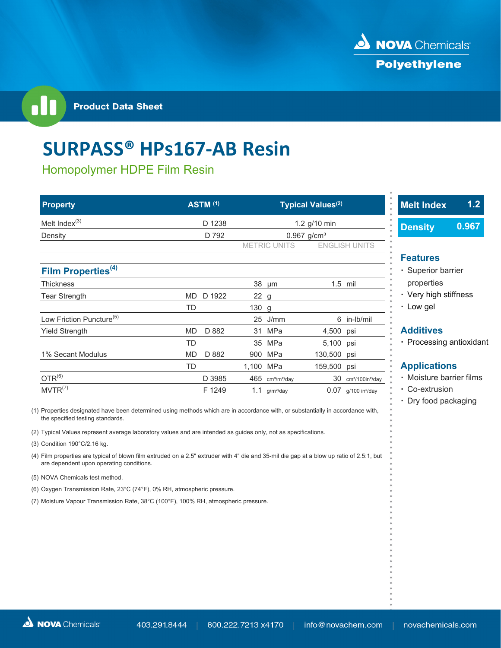

**Product Data Sheet** 

# **SURPASS® HPs167‐AB Resin**

Homopolymer HDPE Film Resin

| <b>Property</b>                      | <b>ASTM (1)</b>     |                                            | <b>Typical Values(2)</b>                       | 1.2<br><b>Melt Index</b><br>$\circ$ |
|--------------------------------------|---------------------|--------------------------------------------|------------------------------------------------|-------------------------------------|
| Melt Index <sup>(3)</sup>            | D 1238              | 1.2 g/10 min<br>$0.967$ g/cm <sup>3</sup>  |                                                | 0.967<br><b>Density</b>             |
| Density                              | D 792               |                                            |                                                |                                     |
|                                      |                     | <b>METRIC UNITS</b>                        | <b>ENGLISH UNITS</b>                           |                                     |
|                                      |                     |                                            |                                                | <b>Features</b>                     |
| Film Properties <sup>(4)</sup>       |                     |                                            |                                                | · Superior barrier                  |
| Thickness                            |                     | 38<br>µm                                   | 1.5 mil                                        | properties                          |
| Tear Strength                        | D 1922<br><b>MD</b> | 22 g                                       |                                                | • Very high stiffness               |
|                                      | TD                  | 130 g                                      |                                                | • Low gel                           |
| Low Friction Puncture <sup>(5)</sup> |                     | J/mm<br>25                                 | 6 in-lb/mil                                    |                                     |
| Yield Strength                       | D 882<br><b>MD</b>  | MPa<br>31                                  | 4,500 psi                                      | <b>Additives</b>                    |
|                                      | <b>TD</b>           | 35 MPa                                     | 5,100 psi                                      | • Processing antioxidant            |
| 1% Secant Modulus                    | <b>MD</b><br>D 882  | 900 MPa                                    | 130,500 psi                                    |                                     |
|                                      | <b>TD</b>           | 1,100 MPa                                  | 159,500 psi                                    | <b>Applications</b>                 |
| $OTR^{(6)}$                          | D 3985              | $465$ cm <sup>3</sup> /m <sup>2</sup> /day | 30<br>cm <sup>3</sup> /100in <sup>2</sup> /day | • Moisture barrier films            |
| MVTR <sup>(7)</sup>                  | F 1249              | 1.1<br>g/m <sup>2</sup> /day               | $0.07$ g/100 in <sup>2</sup> /day              | • Co-extrusion                      |

(1) Properties designated have been determined using methods which are in accordance with, or substantially in accordance with, the specified testing standards.

(2) Typical Values represent average laboratory values and are intended as guides only, not as specifications.

- (3) Condition 190°C/2.16 kg.
- (4) Film properties are typical of blown film extruded on a 2.5" extruder with 4" die and 35-mil die gap at a blow up ratio of 2.5:1, but are dependent upon operating conditions.
- (5) NOVA Chemicals test method.
- (6) Oxygen Transmission Rate, 23°C (74°F), 0% RH, atmospheric pressure.
- (7) Moisture Vapour Transmission Rate, 38°C (100°F), 100% RH, atmospheric pressure.
- 
- **ꞏ** Dry food packaging